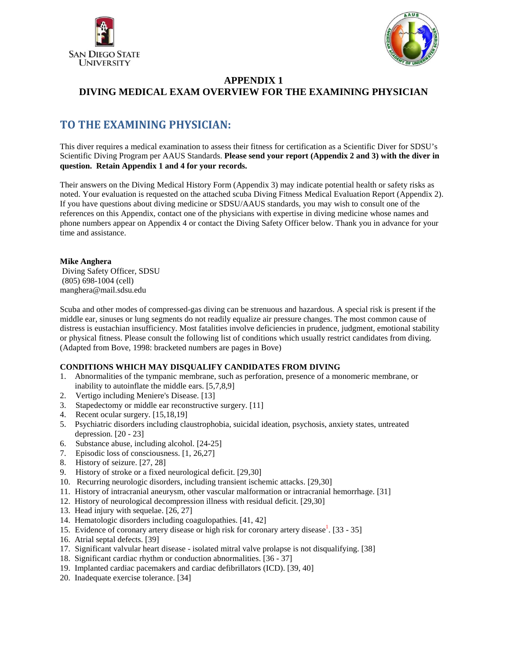



## **APPENDIX 1 DIVING MEDICAL EXAM OVERVIEW FOR THE EXAMINING PHYSICIAN**

## **TO THE EXAMINING PHYSICIAN:**

This diver requires a medical examination to assess their fitness for certification as a Scientific Diver for SDSU's Scientific Diving Program per AAUS Standards. **Please send your report (Appendix 2 and 3) with the diver in question. Retain Appendix 1 and 4 for your records.** 

Their answers on the Diving Medical History Form (Appendix 3) may indicate potential health or safety risks as noted. Your evaluation is requested on the attached scuba Diving Fitness Medical Evaluation Report (Appendix 2). If you have questions about diving medicine or SDSU/AAUS standards, you may wish to consult one of the references on this Appendix, contact one of the physicians with expertise in diving medicine whose names and phone numbers appear on Appendix 4 or contact the Diving Safety Officer below. Thank you in advance for your time and assistance.

#### **Mike Anghera**

 Diving Safety Officer, SDSU (805) 698-1004 (cell) manghera@mail.sdsu.edu

Scuba and other modes of compressed-gas diving can be strenuous and hazardous. A special risk is present if the middle ear, sinuses or lung segments do not readily equalize air pressure changes. The most common cause of distress is eustachian insufficiency. Most fatalities involve deficiencies in prudence, judgment, emotional stability or physical fitness. Please consult the following list of conditions which usually restrict candidates from diving. (Adapted from Bove, 1998: bracketed numbers are pages in Bove)

#### **CONDITIONS WHICH MAY DISQUALIFY CANDIDATES FROM DIVING**

- 1. Abnormalities of the tympanic membrane, such as perforation, presence of a monomeric membrane, or inability to autoinflate the middle ears. [5,7,8,9]
- 2. Vertigo including Meniere's Disease. [13]
- 3. Stapedectomy or middle ear reconstructive surgery. [11]
- 4. Recent ocular surgery. [15,18,19]
- 5. Psychiatric disorders including claustrophobia, suicidal ideation, psychosis, anxiety states, untreated depression. [20 - 23]
- 6. Substance abuse, including alcohol. [24-25]
- 7. Episodic loss of consciousness. [1, 26,27]
- 8. History of seizure. [27, 28]
- 9. History of stroke or a fixed neurological deficit. [29,30]
- 10. Recurring neurologic disorders, including transient ischemic attacks. [29,30]
- 11. History of intracranial aneurysm, other vascular malformation or intracranial hemorrhage. [31]
- 12. History of neurological decompression illness with residual deficit. [29,30]
- 13. Head injury with sequelae. [26, 27]
- 14. Hematologic disorders including coagulopathies. [41, 42]
- 15. Evidence of coronary artery disease or high risk for coronary artery disease<sup>1</sup>. [33 35]
- 16. Atrial septal defects. [39]
- 17. Significant valvular heart disease isolated mitral valve prolapse is not disqualifying. [38]
- 18. Significant cardiac rhythm or conduction abnormalities. [36 37]
- 19. Implanted cardiac pacemakers and cardiac defibrillators (ICD). [39, 40]
- 20. Inadequate exercise tolerance. [34]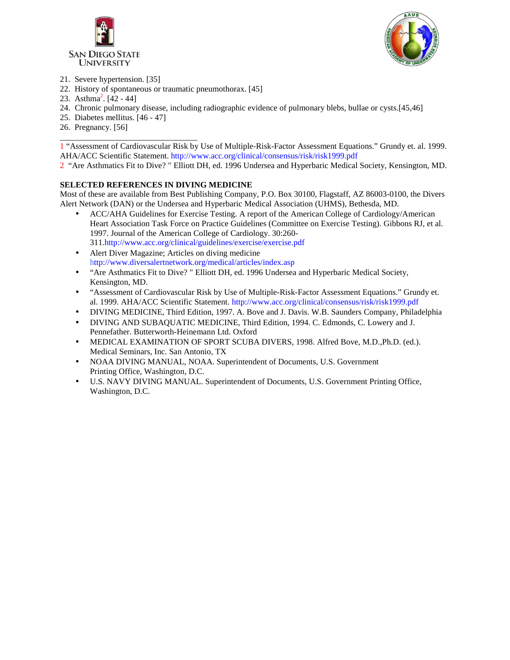



- 21. Severe hypertension. [35]
- 22. History of spontaneous or traumatic pneumothorax. [45]
- 23. Asthma<sup>2</sup>.  $[42 44]$
- 24. Chronic pulmonary disease, including radiographic evidence of pulmonary blebs, bullae or cysts.[45,46]
- 25. Diabetes mellitus. [46 47]

\_\_\_\_\_\_\_\_\_\_\_\_\_\_\_\_\_\_\_\_\_\_\_\_\_\_\_\_\_\_\_\_\_

26. Pregnancy. [56]

1 "Assessment of Cardiovascular Risk by Use of Multiple-Risk-Factor Assessment Equations." Grundy et. al. 1999. AHA/ACC Scientific Statement. http://www.acc.org/clinical/consensus/risk/risk1999.pdf

2 "Are Asthmatics Fit to Dive? " Elliott DH, ed. 1996 Undersea and Hyperbaric Medical Society, Kensington, MD.

#### **SELECTED REFERENCES IN DIVING MEDICINE**

Most of these are available from Best Publishing Company, P.O. Box 30100, Flagstaff, AZ 86003-0100, the Divers Alert Network (DAN) or the Undersea and Hyperbaric Medical Association (UHMS), Bethesda, MD.

- ACC/AHA Guidelines for Exercise Testing. A report of the American College of Cardiology/American Heart Association Task Force on Practice Guidelines (Committee on Exercise Testing). Gibbons RJ, et al. 1997. Journal of the American College of Cardiology. 30:260- 311.http://www.acc.org/clinical/guidelines/exercise/exercise.pdf
- Alert Diver Magazine; Articles on diving medicine http://www.diversalertnetwork.org/medical/articles/index.asp
- "Are Asthmatics Fit to Dive? " Elliott DH, ed. 1996 Undersea and Hyperbaric Medical Society, Kensington, MD.
- "Assessment of Cardiovascular Risk by Use of Multiple-Risk-Factor Assessment Equations." Grundy et. al. 1999. AHA/ACC Scientific Statement. http://www.acc.org/clinical/consensus/risk/risk1999.pdf
- DIVING MEDICINE, Third Edition, 1997. A. Bove and J. Davis. W.B. Saunders Company, Philadelphia
- DIVING AND SUBAQUATIC MEDICINE, Third Edition, 1994. C. Edmonds, C. Lowery and J. Pennefather. Butterworth-Heinemann Ltd. Oxford
- MEDICAL EXAMINATION OF SPORT SCUBA DIVERS, 1998. Alfred Bove, M.D.,Ph.D. (ed.). Medical Seminars, Inc. San Antonio, TX
- NOAA DIVING MANUAL, NOAA. Superintendent of Documents, U.S. Government Printing Office, Washington, D.C.
- U.S. NAVY DIVING MANUAL. Superintendent of Documents, U.S. Government Printing Office, Washington, D.C.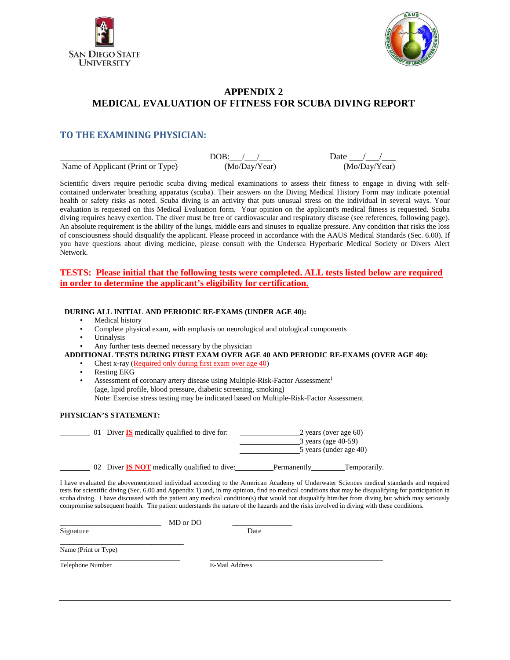



## **APPENDIX 2 MEDICAL EVALUATION OF FITNESS FOR SCUBA DIVING REPORT**

#### **TO THE EXAMINING PHYSICIAN:**

Name of Applicant (Print or Type)

 $\text{DOB:}\begin{array}{c}\n\text{DOB:}\n\hline\n\text{(Mo/Day/Year)}\n\hline\n\end{array}\n\qquad\n\begin{array}{c}\n\text{Date} \quad \text{O} \\
\hline\n\text{(Mo/Day/Year)}\n\hline\n\end{array}$ 

Scientific divers require periodic scuba diving medical examinations to assess their fitness to engage in diving with selfcontained underwater breathing apparatus (scuba). Their answers on the Diving Medical History Form may indicate potential health or safety risks as noted. Scuba diving is an activity that puts unusual stress on the individual in several ways. Your evaluation is requested on this Medical Evaluation form. Your opinion on the applicant's medical fitness is requested*.* Scuba diving requires heavy exertion. The diver must be free of cardiovascular and respiratory disease (see references, following page). An absolute requirement is the ability of the lungs, middle ears and sinuses to equalize pressure. Any condition that risks the loss of consciousness should disqualify the applicant. Please proceed in accordance with the AAUS Medical Standards (Sec. 6.00). If you have questions about diving medicine, please consult with the Undersea Hyperbaric Medical Society or Divers Alert Network.

#### **TESTS: Please initial that the following tests were completed. ALL tests listed below are required in order to determine the applicant's eligibility for certification.**

#### **DURING ALL INITIAL AND PERIODIC RE-EXAMS (UNDER AGE 40):**

- Medical history
- Complete physical exam, with emphasis on neurological and otological components
	- Urinalysis
- Any further tests deemed necessary by the physician
- **ADDITIONAL TESTS DURING FIRST EXAM OVER AGE 40 AND PERIODIC RE-EXAMS (OVER AGE 40):** 
	- Chest x-ray (Required only during first exam over age 40)
	- Resting EKG
	- Assessment of coronary artery disease using Multiple-Risk-Factor Assessment<sup>1</sup> (age, lipid profile, blood pressure, diabetic screening, smoking) Note: Exercise stress testing may be indicated based on Multiple-Risk-Factor Assessment

#### **PHYSICIAN'S STATEMENT:**

101 Diver **IS** medically qualified to dive for: 3 years (age 40-59) 5 years (under age 40)

02 Diver **IS NOT** medically qualified to dive: Permanently Temporarily.

I have evaluated the abovementioned individual according to the American Academy of Underwater Sciences medical standards and required tests for scientific diving (Sec. 6.00 and Appendix 1) and, in my opinion, find no medical conditions that may be disqualifying for participation in scuba diving. I have discussed with the patient any medical condition(s) that would not disqualify him/her from diving but which may seriously compromise subsequent health. The patient understands the nature of the hazards and the risks involved in diving with these conditions.

| MD or DO |                |  |
|----------|----------------|--|
|          | Date           |  |
|          |                |  |
|          | E-Mail Address |  |
|          |                |  |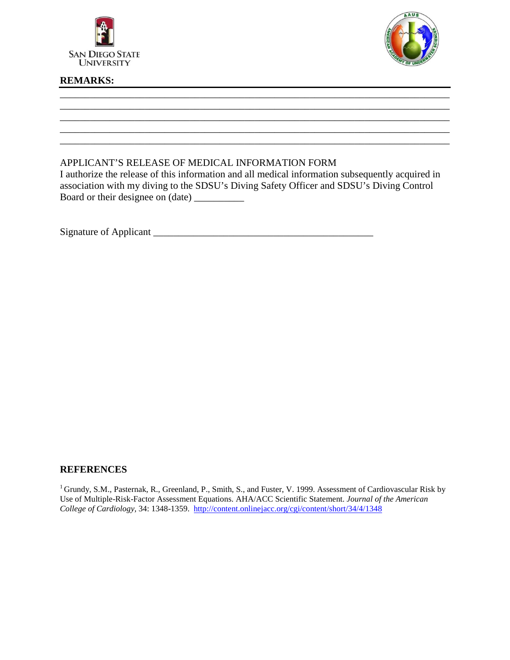



## **REMARKS:**

## APPLICANT'S RELEASE OF MEDICAL INFORMATION FORM

I authorize the release of this information and all medical information subsequently acquired in association with my diving to the SDSU's Diving Safety Officer and SDSU's Diving Control Board or their designee on (date) \_\_\_\_\_\_\_\_\_\_\_

\_\_\_\_\_\_\_\_\_\_\_\_\_\_\_\_\_\_\_\_\_\_\_\_\_\_\_\_\_\_\_\_\_\_\_\_\_\_\_\_\_\_\_\_\_\_\_\_\_\_\_\_\_\_\_\_\_\_\_\_\_\_\_\_\_\_\_\_\_\_\_\_\_\_\_\_\_\_ \_\_\_\_\_\_\_\_\_\_\_\_\_\_\_\_\_\_\_\_\_\_\_\_\_\_\_\_\_\_\_\_\_\_\_\_\_\_\_\_\_\_\_\_\_\_\_\_\_\_\_\_\_\_\_\_\_\_\_\_\_\_\_\_\_\_\_\_\_\_\_\_\_\_\_\_\_\_ \_\_\_\_\_\_\_\_\_\_\_\_\_\_\_\_\_\_\_\_\_\_\_\_\_\_\_\_\_\_\_\_\_\_\_\_\_\_\_\_\_\_\_\_\_\_\_\_\_\_\_\_\_\_\_\_\_\_\_\_\_\_\_\_\_\_\_\_\_\_\_\_\_\_\_\_\_\_ \_\_\_\_\_\_\_\_\_\_\_\_\_\_\_\_\_\_\_\_\_\_\_\_\_\_\_\_\_\_\_\_\_\_\_\_\_\_\_\_\_\_\_\_\_\_\_\_\_\_\_\_\_\_\_\_\_\_\_\_\_\_\_\_\_\_\_\_\_\_\_\_\_\_\_\_\_\_ \_\_\_\_\_\_\_\_\_\_\_\_\_\_\_\_\_\_\_\_\_\_\_\_\_\_\_\_\_\_\_\_\_\_\_\_\_\_\_\_\_\_\_\_\_\_\_\_\_\_\_\_\_\_\_\_\_\_\_\_\_\_\_\_\_\_\_\_\_\_\_\_\_\_\_\_\_\_

Signature of Applicant \_\_\_\_\_\_\_\_\_\_\_\_\_\_\_\_\_\_\_\_\_\_\_\_\_\_\_\_\_\_\_\_\_\_\_\_\_\_\_\_\_\_\_\_

#### **REFERENCES**

<sup>1</sup> Grundy, S.M., Pasternak, R., Greenland, P., Smith, S., and Fuster, V. 1999. Assessment of Cardiovascular Risk by Use of Multiple-Risk-Factor Assessment Equations. AHA/ACC Scientific Statement. *Journal of the American College of Cardiology,* 34: 1348-1359. http://content.onlinejacc.org/cgi/content/short/34/4/1348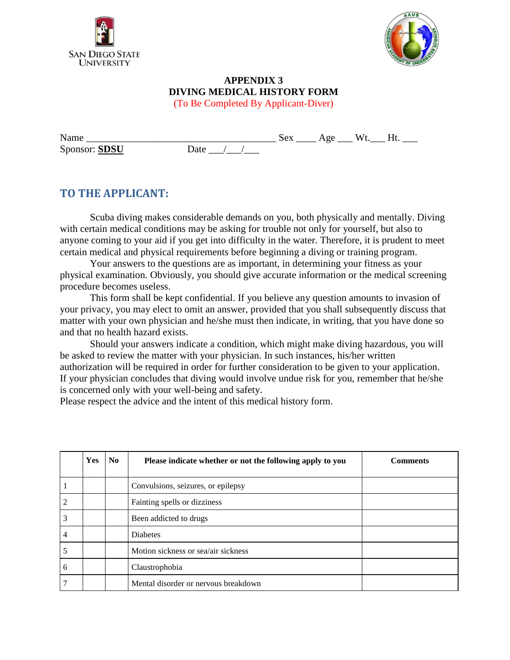



# **APPENDIX 3 DIVING MEDICAL HISTORY FORM**

(To Be Completed By Applicant-Diver)

Name \_\_\_\_\_\_\_\_\_\_\_\_\_\_\_\_\_\_\_\_\_\_\_\_\_\_\_\_\_\_\_\_\_\_\_\_\_\_ Sex \_\_\_\_ Age \_\_\_ Wt.\_\_\_ Ht. \_\_\_ Sponsor: **SDSU** Date \_\_\_/\_\_\_/\_\_\_

## **TO THE APPLICANT:**

 Scuba diving makes considerable demands on you, both physically and mentally. Diving with certain medical conditions may be asking for trouble not only for yourself, but also to anyone coming to your aid if you get into difficulty in the water. Therefore, it is prudent to meet certain medical and physical requirements before beginning a diving or training program.

 Your answers to the questions are as important, in determining your fitness as your physical examination. Obviously, you should give accurate information or the medical screening procedure becomes useless.

 This form shall be kept confidential. If you believe any question amounts to invasion of your privacy, you may elect to omit an answer, provided that you shall subsequently discuss that matter with your own physician and he/she must then indicate, in writing, that you have done so and that no health hazard exists.

 Should your answers indicate a condition, which might make diving hazardous, you will be asked to review the matter with your physician. In such instances, his/her written authorization will be required in order for further consideration to be given to your application. If your physician concludes that diving would involve undue risk for you, remember that he/she is concerned only with your well-being and safety.

Please respect the advice and the intent of this medical history form.

|                | <b>Yes</b> | N <sub>0</sub> | Please indicate whether or not the following apply to you | <b>Comments</b> |
|----------------|------------|----------------|-----------------------------------------------------------|-----------------|
|                |            |                | Convulsions, seizures, or epilepsy                        |                 |
| 2              |            |                | Fainting spells or dizziness                              |                 |
| 3              |            |                | Been addicted to drugs                                    |                 |
| $\overline{4}$ |            |                | Diabetes                                                  |                 |
| 5              |            |                | Motion sickness or sea/air sickness                       |                 |
| 6              |            |                | Claustrophobia                                            |                 |
|                |            |                | Mental disorder or nervous breakdown                      |                 |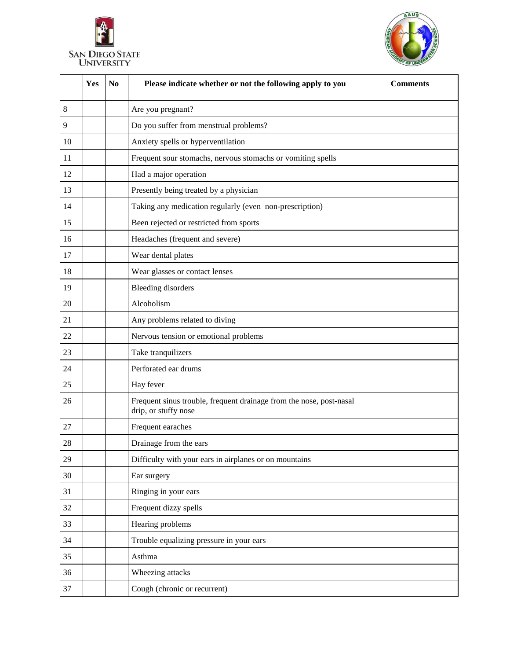



|              | Yes | N <sub>0</sub> | Please indicate whether or not the following apply to you                                   | <b>Comments</b> |
|--------------|-----|----------------|---------------------------------------------------------------------------------------------|-----------------|
| 8            |     |                | Are you pregnant?                                                                           |                 |
| $\mathbf{9}$ |     |                | Do you suffer from menstrual problems?                                                      |                 |
| 10           |     |                | Anxiety spells or hyperventilation                                                          |                 |
| 11           |     |                | Frequent sour stomachs, nervous stomachs or vomiting spells                                 |                 |
| 12           |     |                | Had a major operation                                                                       |                 |
| 13           |     |                | Presently being treated by a physician                                                      |                 |
| 14           |     |                | Taking any medication regularly (even non-prescription)                                     |                 |
| 15           |     |                | Been rejected or restricted from sports                                                     |                 |
| 16           |     |                | Headaches (frequent and severe)                                                             |                 |
| 17           |     |                | Wear dental plates                                                                          |                 |
| 18           |     |                | Wear glasses or contact lenses                                                              |                 |
| 19           |     |                | <b>Bleeding disorders</b>                                                                   |                 |
| 20           |     |                | Alcoholism                                                                                  |                 |
| 21           |     |                | Any problems related to diving                                                              |                 |
| 22           |     |                | Nervous tension or emotional problems                                                       |                 |
| 23           |     |                | Take tranquilizers                                                                          |                 |
| 24           |     |                | Perforated ear drums                                                                        |                 |
| 25           |     |                | Hay fever                                                                                   |                 |
| 26           |     |                | Frequent sinus trouble, frequent drainage from the nose, post-nasal<br>drip, or stuffy nose |                 |
| 27           |     |                | Frequent earaches                                                                           |                 |
| 28           |     |                | Drainage from the ears                                                                      |                 |
| 29           |     |                | Difficulty with your ears in airplanes or on mountains                                      |                 |
| 30           |     |                | Ear surgery                                                                                 |                 |
| 31           |     |                | Ringing in your ears                                                                        |                 |
| 32           |     |                | Frequent dizzy spells                                                                       |                 |
| 33           |     |                | Hearing problems                                                                            |                 |
| 34           |     |                | Trouble equalizing pressure in your ears                                                    |                 |
| 35           |     |                | Asthma                                                                                      |                 |
| 36           |     |                | Wheezing attacks                                                                            |                 |
| 37           |     |                | Cough (chronic or recurrent)                                                                |                 |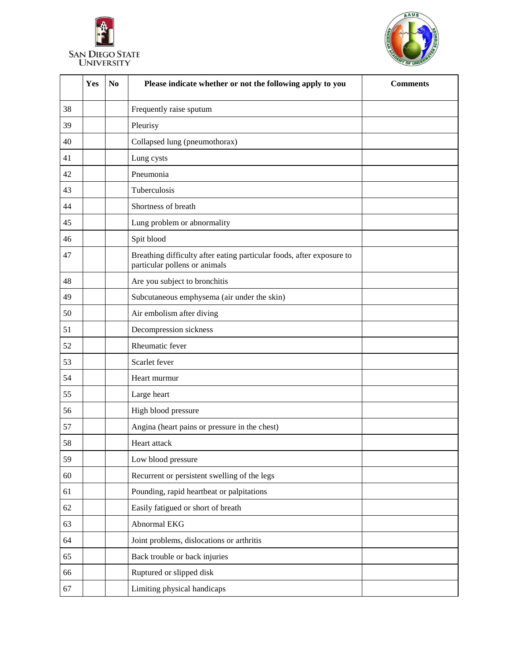



|        | Yes | N <sub>0</sub> | Please indicate whether or not the following apply to you                                              | <b>Comments</b> |
|--------|-----|----------------|--------------------------------------------------------------------------------------------------------|-----------------|
| 38     |     |                | Frequently raise sputum                                                                                |                 |
| 39     |     |                | Pleurisy                                                                                               |                 |
| 40     |     |                | Collapsed lung (pneumothorax)                                                                          |                 |
| 41     |     |                | Lung cysts                                                                                             |                 |
| 42     |     |                | Pneumonia                                                                                              |                 |
| 43     |     |                | Tuberculosis                                                                                           |                 |
| 44     |     |                | Shortness of breath                                                                                    |                 |
| 45     |     |                | Lung problem or abnormality                                                                            |                 |
| 46     |     |                | Spit blood                                                                                             |                 |
| 47     |     |                | Breathing difficulty after eating particular foods, after exposure to<br>particular pollens or animals |                 |
| 48     |     |                | Are you subject to bronchitis                                                                          |                 |
| 49     |     |                | Subcutaneous emphysema (air under the skin)                                                            |                 |
| 50     |     |                | Air embolism after diving                                                                              |                 |
| 51     |     |                | Decompression sickness                                                                                 |                 |
| 52     |     |                | Rheumatic fever                                                                                        |                 |
| 53     |     |                | Scarlet fever                                                                                          |                 |
| 54     |     |                | Heart murmur                                                                                           |                 |
| 55     |     |                | Large heart                                                                                            |                 |
| 56     |     |                | High blood pressure                                                                                    |                 |
| 57     |     |                | Angina (heart pains or pressure in the chest)                                                          |                 |
| 58     |     |                | Heart attack                                                                                           |                 |
| 59     |     |                | Low blood pressure                                                                                     |                 |
| 60     |     |                | Recurrent or persistent swelling of the legs                                                           |                 |
| 61     |     |                | Pounding, rapid heartbeat or palpitations                                                              |                 |
| $62\,$ |     |                | Easily fatigued or short of breath                                                                     |                 |
| 63     |     |                | Abnormal EKG                                                                                           |                 |
| 64     |     |                | Joint problems, dislocations or arthritis                                                              |                 |
| 65     |     |                | Back trouble or back injuries                                                                          |                 |
| 66     |     |                | Ruptured or slipped disk                                                                               |                 |
| 67     |     |                | Limiting physical handicaps                                                                            |                 |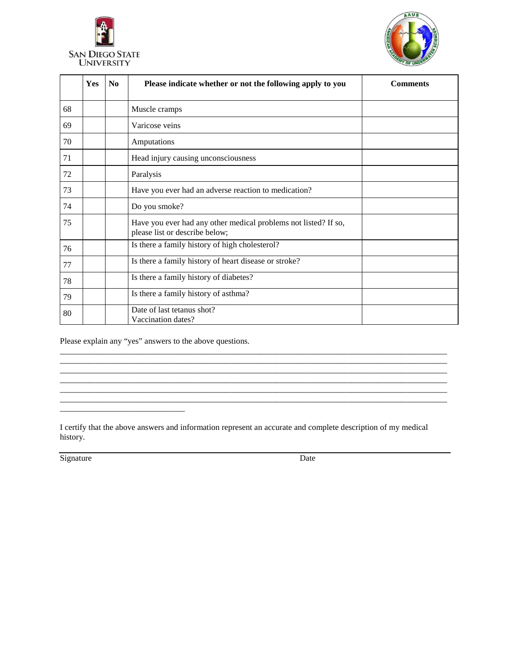



|    | Yes | N <sub>0</sub> | Please indicate whether or not the following apply to you                                         | <b>Comments</b> |
|----|-----|----------------|---------------------------------------------------------------------------------------------------|-----------------|
| 68 |     |                | Muscle cramps                                                                                     |                 |
| 69 |     |                | Varicose veins                                                                                    |                 |
| 70 |     |                | Amputations                                                                                       |                 |
| 71 |     |                | Head injury causing unconsciousness                                                               |                 |
| 72 |     |                | Paralysis                                                                                         |                 |
| 73 |     |                | Have you ever had an adverse reaction to medication?                                              |                 |
| 74 |     |                | Do you smoke?                                                                                     |                 |
| 75 |     |                | Have you ever had any other medical problems not listed? If so,<br>please list or describe below; |                 |
| 76 |     |                | Is there a family history of high cholesterol?                                                    |                 |
| 77 |     |                | Is there a family history of heart disease or stroke?                                             |                 |
| 78 |     |                | Is there a family history of diabetes?                                                            |                 |
| 79 |     |                | Is there a family history of asthma?                                                              |                 |
| 80 |     |                | Date of last tetanus shot?<br>Vaccination dates?                                                  |                 |

Please explain any "yes" answers to the above questions.

\_\_\_\_\_\_\_\_\_\_\_\_\_\_\_\_\_\_\_\_\_\_\_\_\_\_\_\_\_\_

I certify that the above answers and information represent an accurate and complete description of my medical history.

\_\_\_\_\_\_\_\_\_\_\_\_\_\_\_\_\_\_\_\_\_\_\_\_\_\_\_\_\_\_\_\_\_\_\_\_\_\_\_\_\_\_\_\_\_\_\_\_\_\_\_\_\_\_\_\_\_\_\_\_\_\_\_\_\_\_\_\_\_\_\_\_\_\_\_\_\_\_\_\_\_\_\_\_\_\_\_\_\_\_\_\_\_ \_\_\_\_\_\_\_\_\_\_\_\_\_\_\_\_\_\_\_\_\_\_\_\_\_\_\_\_\_\_\_\_\_\_\_\_\_\_\_\_\_\_\_\_\_\_\_\_\_\_\_\_\_\_\_\_\_\_\_\_\_\_\_\_\_\_\_\_\_\_\_\_\_\_\_\_\_\_\_\_\_\_\_\_\_\_\_\_\_\_\_\_\_ \_\_\_\_\_\_\_\_\_\_\_\_\_\_\_\_\_\_\_\_\_\_\_\_\_\_\_\_\_\_\_\_\_\_\_\_\_\_\_\_\_\_\_\_\_\_\_\_\_\_\_\_\_\_\_\_\_\_\_\_\_\_\_\_\_\_\_\_\_\_\_\_\_\_\_\_\_\_\_\_\_\_\_\_\_\_\_\_\_\_\_\_\_ \_\_\_\_\_\_\_\_\_\_\_\_\_\_\_\_\_\_\_\_\_\_\_\_\_\_\_\_\_\_\_\_\_\_\_\_\_\_\_\_\_\_\_\_\_\_\_\_\_\_\_\_\_\_\_\_\_\_\_\_\_\_\_\_\_\_\_\_\_\_\_\_\_\_\_\_\_\_\_\_\_\_\_\_\_\_\_\_\_\_\_\_\_ \_\_\_\_\_\_\_\_\_\_\_\_\_\_\_\_\_\_\_\_\_\_\_\_\_\_\_\_\_\_\_\_\_\_\_\_\_\_\_\_\_\_\_\_\_\_\_\_\_\_\_\_\_\_\_\_\_\_\_\_\_\_\_\_\_\_\_\_\_\_\_\_\_\_\_\_\_\_\_\_\_\_\_\_\_\_\_\_\_\_\_\_\_ \_\_\_\_\_\_\_\_\_\_\_\_\_\_\_\_\_\_\_\_\_\_\_\_\_\_\_\_\_\_\_\_\_\_\_\_\_\_\_\_\_\_\_\_\_\_\_\_\_\_\_\_\_\_\_\_\_\_\_\_\_\_\_\_\_\_\_\_\_\_\_\_\_\_\_\_\_\_\_\_\_\_\_\_\_\_\_\_\_\_\_\_\_

Signature Date